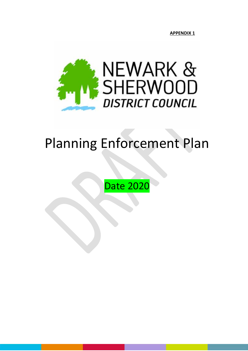**APPENDIX 1**



# Planning Enforcement Plan

Date 2020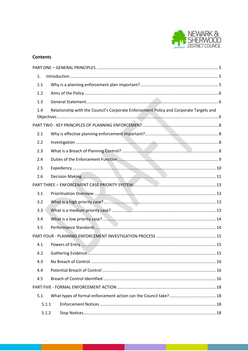

## **Contents**

| 1.    |                                                                                        |  |  |  |  |
|-------|----------------------------------------------------------------------------------------|--|--|--|--|
| 1.1   |                                                                                        |  |  |  |  |
| 1.2   |                                                                                        |  |  |  |  |
| 1.3   |                                                                                        |  |  |  |  |
| 1.4   | Relationship with the Council's Corporate Enforcement Policy and Corporate Targets and |  |  |  |  |
|       |                                                                                        |  |  |  |  |
|       |                                                                                        |  |  |  |  |
| 2.1   |                                                                                        |  |  |  |  |
| 2.2   |                                                                                        |  |  |  |  |
| 2.3   |                                                                                        |  |  |  |  |
| 2.4   |                                                                                        |  |  |  |  |
| 2.5   |                                                                                        |  |  |  |  |
| 2.6   |                                                                                        |  |  |  |  |
|       |                                                                                        |  |  |  |  |
| 3.1   |                                                                                        |  |  |  |  |
| 3.2   |                                                                                        |  |  |  |  |
| 3.3   |                                                                                        |  |  |  |  |
| 3.4   |                                                                                        |  |  |  |  |
| 3.5   |                                                                                        |  |  |  |  |
|       |                                                                                        |  |  |  |  |
| 4.1   |                                                                                        |  |  |  |  |
| 4.2   |                                                                                        |  |  |  |  |
| 4.3   |                                                                                        |  |  |  |  |
| 4.4   |                                                                                        |  |  |  |  |
| 4.5   |                                                                                        |  |  |  |  |
|       |                                                                                        |  |  |  |  |
| 5.1   |                                                                                        |  |  |  |  |
| 5.1.1 |                                                                                        |  |  |  |  |
| 5.1.2 |                                                                                        |  |  |  |  |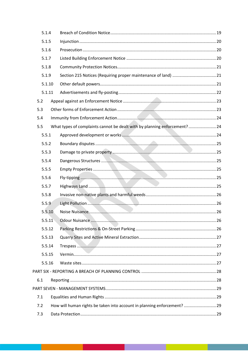|       | 5.1.4  |                                                                          |  |  |
|-------|--------|--------------------------------------------------------------------------|--|--|
|       | 5.1.5  |                                                                          |  |  |
|       | 5.1.6  |                                                                          |  |  |
|       | 5.1.7  |                                                                          |  |  |
| 5.1.8 |        |                                                                          |  |  |
|       | 5.1.9  |                                                                          |  |  |
|       | 5.1.10 |                                                                          |  |  |
|       | 5.1.11 |                                                                          |  |  |
| 5.2   |        |                                                                          |  |  |
| 5.3   |        |                                                                          |  |  |
| 5.4   |        |                                                                          |  |  |
| 5.5   |        | What types of complaints cannot be dealt with by planning enforcement?24 |  |  |
|       | 5.5.1  |                                                                          |  |  |
|       | 5.5.2  |                                                                          |  |  |
|       | 5.5.3  |                                                                          |  |  |
|       | 5.5.4  |                                                                          |  |  |
|       | 5.5.5  |                                                                          |  |  |
|       | 5.5.6  |                                                                          |  |  |
|       | 5.5.7  |                                                                          |  |  |
|       | 5.5.8  |                                                                          |  |  |
|       | 5.5.9  |                                                                          |  |  |
|       | 5.5.10 |                                                                          |  |  |
|       | 5.5.11 |                                                                          |  |  |
|       | 5.5.12 |                                                                          |  |  |
|       | 5.5.13 |                                                                          |  |  |
|       | 5.5.14 |                                                                          |  |  |
|       | 5.5.15 |                                                                          |  |  |
|       | 5.5.16 |                                                                          |  |  |
|       |        |                                                                          |  |  |
| 6.1   |        |                                                                          |  |  |
|       |        |                                                                          |  |  |
| 7.1   |        |                                                                          |  |  |
| 7.2   |        | How will human rights be taken into account in planning enforcement? 29  |  |  |
| 7.3   |        |                                                                          |  |  |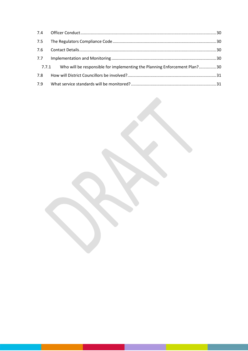| 7.5 |                                                                                 |  |
|-----|---------------------------------------------------------------------------------|--|
|     |                                                                                 |  |
|     |                                                                                 |  |
|     | 7.7.1 Who will be responsible for implementing the Planning Enforcement Plan?30 |  |
| 7.8 |                                                                                 |  |
| 7.9 |                                                                                 |  |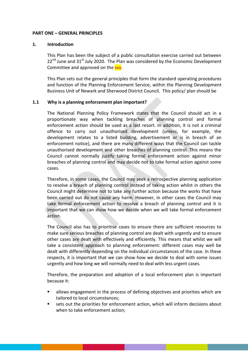#### <span id="page-4-0"></span>**PART ONE – GENERAL PRINCIPLES**

#### <span id="page-4-1"></span>**1. Introduction**

This Plan has been the subject of a public consultation exercise carried out between  $22<sup>nd</sup>$  June and  $31<sup>st</sup>$  July 2020. The Plan was considered by the Economic Development Committee and approved on the xxx.

This Plan sets out the general principles that form the standard operating procedures and function of the Planning Enforcement Service, within the Planning Development Business Unit of Newark and Sherwood District Council. This policy/ plan should be

## <span id="page-4-2"></span>**1.1 Why is a planning enforcement plan important?**

The National Planning Policy Framework states that the Council should act in a proportionate way when tackling breaches of planning control and formal enforcement action should be used as a last resort. In addition, it is not a criminal offence to carry out unauthorised development (unless, for example, the development relates to a listed building, advertisement or is in breach of an enforcement notice), and there are many different ways that the Council can tackle unauthorised development and other breaches of planning control. This means the Council cannot normally justify taking formal enforcement action against minor breaches of planning control and may decide not to take formal action against some cases.

Therefore, in some cases, the Council may seek a retrospective planning application to resolve a breach of planning control instead of taking action whilst in others the Council might determine not to take any further action because the works that have been carried out do not cause any harm. However, in other cases the Council may take formal enforcement action to resolve a breach of planning control and it is important that we can show how we decide when we will take formal enforcement action.

The Council also has to prioritise cases to ensure there are sufficient resources to make sure serious breaches of planning control are dealt with urgently and to ensure other cases are dealt with effectively and efficiently. This means that whilst we will take a consistent approach to planning enforcement: different cases may well be dealt with differently depending on the individual circumstances of the case. In these respects, it is important that we can show how we decide to deal with some issues urgently and how long we will normally need to deal with less urgent cases.

Therefore, the preparation and adoption of a local enforcement plan is important because it:

- allows engagement in the process of defining objectives and priorities which are tailored to local circumstances;
- sets out the priorities for enforcement action, which will inform decisions about when to take enforcement action;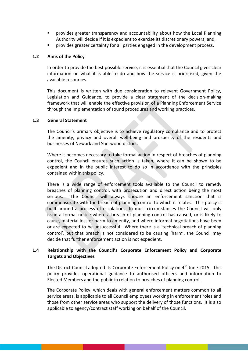- provides greater transparency and accountability about how the Local Planning Authority will decide if it is expedient to exercise its discretionary powers; and,
- provides greater certainty for all parties engaged in the development process.

## <span id="page-5-0"></span>**1.2 Aims of the Policy**

In order to provide the best possible service, it is essential that the Council gives clear information on what it is able to do and how the service is prioritised, given the available resources.

This document is written with due consideration to relevant Government Policy, Legislation and Guidance, to provide a clear statement of the decision-making framework that will enable the effective provision of a Planning Enforcement Service through the implementation of sound procedures and working practices.

## <span id="page-5-1"></span>**1.3 General Statement**

The Council's primary objective is to achieve regulatory compliance and to protect the amenity, privacy and overall well-being and prosperity of the residents and businesses of Newark and Sherwood district.

Where it becomes necessary to take formal action in respect of breaches of planning control, the Council ensures such action is taken, where it can be shown to be expedient and in the public interest to do so in accordance with the principles contained within this policy.

There is a wide range of enforcement tools available to the Council to remedy breaches of planning control, with prosecution and direct action being the most serious. The Council will always choose an enforcement sanction that is commensurate with the breach of planning control to which it relates. This policy is built around a process of escalation. In most circumstances the Council will only issue a formal notice where a breach of planning control has caused, or is likely to cause, material loss or harm to amenity, and where informal negotiations have been or are expected to be unsuccessful. Where there is a 'technical breach of planning control', but that breach is not considered to be causing 'harm', the Council may decide that further enforcement action is not expedient.

# <span id="page-5-2"></span>**1.4 Relationship with the Council's Corporate Enforcement Policy and Corporate Targets and Objectives**

The District Council adopted its Corporate Enforcement Policy on  $4<sup>th</sup>$  June 2015. This policy provides operational guidance to authorised officers and information to Elected Members and the public in relation to breaches of planning control.

The Corporate Policy, which deals with general enforcement matters common to all service areas, is applicable to all Council employees working in enforcement roles and those from other service areas who support the delivery of those functions. It is also applicable to agency/contract staff working on behalf of the Council.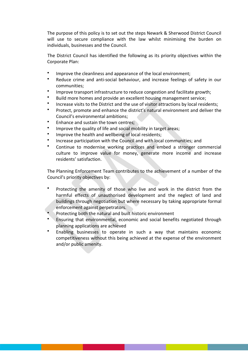The purpose of this policy is to set out the steps Newark & Sherwood District Council will use to secure compliance with the law whilst minimising the burden on individuals, businesses and the Council.

The District Council has identified the following as its priority objectives within the Corporate Plan:

- Improve the cleanliness and appearance of the local environment;
- Reduce crime and anti-social behaviour, and increase feelings of safety in our communities;
- Improve transport infrastructure to reduce congestion and facilitate growth;
- Build more homes and provide an excellent housing management service;
- Increase visits to the District and the use of visitor attractions by local residents;
- Protect, promote and enhance the district's natural environment and deliver the Council's environmental ambitions;
- Enhance and sustain the town centres;
- Improve the quality of life and social mobility in target areas;
- Improve the health and wellbeing of local residents;
- Increase participation with the Council and with local communities; and
- Continue to modernise working practices and embed a stronger commercial culture to improve value for money, generate more income and increase residents' satisfaction.

The Planning Enforcement Team contributes to the achievement of a number of the Council's priority objectives by:

- Protecting the amenity of those who live and work in the district from the harmful effects of unauthorised development and the neglect of land and buildings through negotiation but where necessary by taking appropriate formal enforcement against perpetrators.
- Protecting both the natural and built historic environment
- Ensuring that environmental, economic and social benefits negotiated through planning applications are achieved
- Enabling businesses to operate in such a way that maintains economic competitiveness without this being achieved at the expense of the environment and/or public amenity.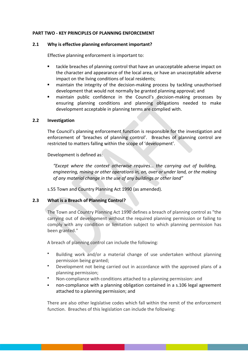# <span id="page-7-0"></span>**PART TWO - KEY PRINCIPLES OF PLANNING ENFORCEMENT**

## <span id="page-7-1"></span>**2.1 Why is effective planning enforcement important?**

Effective planning enforcement is important to:

- **tackle breaches of planning control that have an unacceptable adverse impact on** the character and appearance of the local area, or have an unacceptable adverse impact on the living conditions of local residents;
- maintain the integrity of the decision-making process by tackling unauthorised development that would not normally be granted planning approval; and
- maintain public confidence in the Council's decision-making processes by ensuring planning conditions and planning obligations needed to make development acceptable in planning terms are complied with.

## <span id="page-7-2"></span>**2.2 Investigation**

The Council's planning enforcement function is responsible for the investigation and enforcement of 'breaches of planning control'. Breaches of planning control are restricted to matters falling within the scope of 'development'.

Development is defined as:

*"Except where the context otherwise requires… the carrying out of building, engineering, mining or other operations in, on, over or under land, or the making of any material change in the use of any buildings or other land"*

s.55 Town and Country Planning Act 1990 (as amended).

# <span id="page-7-3"></span>**2.3 What is a Breach of Planning Control?**

The Town and Country Planning Act 1990 defines a breach of planning control as "the carrying out of development without the required planning permission or failing to comply with any condition or limitation subject to which planning permission has been granted."

A breach of planning control can include the following:

- Building work and/or a material change of use undertaken without planning permission being granted;
- Development not being carried out in accordance with the approved plans of a planning permission;
- Non-compliance with conditions attached to a planning permission: and
- non-compliance with a planning obligation contained in a s.106 legal agreement attached to a planning permission; and

There are also other legislative codes which fall within the remit of the enforcement function. Breaches of this legislation can include the following: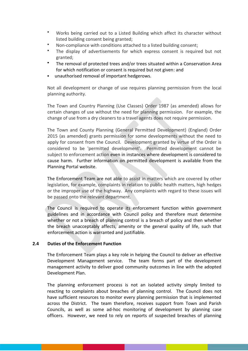- Works being carried out to a Listed Building which affect its character without listed building consent being granted;
- Non-compliance with conditions attached to a listed building consent;
- The display of advertisements for which express consent is required but not granted;
- The removal of protected trees and/or trees situated within a Conservation Area for which notification or consent is required but not given: and
- unauthorised removal of important hedgerows.

Not all development or change of use requires planning permission from the local planning authority.

The Town and Country Planning (Use Classes) Order 1987 (as amended) allows for certain changes of use without the need for planning permission. For example, the change of use from a dry cleaners to a travel agents does not require permission.

The Town and County Planning (General Permitted Development) (England) Order 2015 (as amended) grants permission for some developments without the need to apply for consent from the Council. Development granted by virtue of the Order is considered to be 'permitted development'. Permitted development cannot be subject to enforcement action even in instances where development is considered to cause harm. Further information on permitted development is available from the [Planning Portal](https://www.planningportal.co.uk/info/200187/your_responsibilities/37/planning_permission/2) website.

The Enforcement Team are not able to assist in matters which are covered by other legislation, for example, complaints in relation to public health matters, high hedges or the improper use of the highway. Any complaints with regard to these issues will be passed onto the relevant department.

The Council is required to operate its enforcement function within government guidelines and in accordance with Council policy and therefore must determine whether or not a breach of planning control is a breach of policy and then whether the breach unacceptably affects, amenity or the general quality of life, such that enforcement action is warranted and justifiable.

## <span id="page-8-0"></span>**2.4 Duties of the Enforcement Function**

The Enforcement Team plays a key role in helping the Council to deliver an effective Development Management service. The team forms part of the development management activity to deliver good community outcomes in line with the adopted Development Plan.

The planning enforcement process is not an isolated activity simply limited to reacting to complaints about breaches of planning control. The Council does not have sufficient resources to monitor every planning permission that is implemented across the District. The team therefore, receives support from Town and Parish Councils, as well as some ad-hoc monitoring of development by planning case officers. However, we need to rely on reports of suspected breaches of planning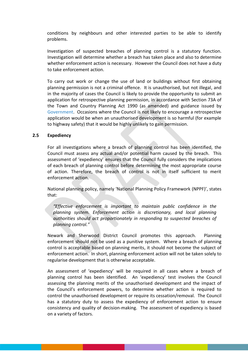conditions by neighbours and other interested parties to be able to identify problems.

Investigation of suspected breaches of planning control is a statutory function. Investigation will determine whether a breach has taken place and also to determine whether enforcement action is necessary. However the Council does not have a duty to take enforcement action.

To carry out work or change the use of land or buildings without first obtaining planning permission is not a criminal offence. It is unauthorised, but not illegal, and in the majority of cases the Council is likely to provide the opportunity to submit an application for retrospective planning permission, in accordance with Section 73A of the Town and Country Planning Act 1990 (as amended) and guidance issued by [Government.](https://www.gov.uk/guidance/ensuring-effective-enforcement#Retrospective-planning-application) Occasions where the Council is not likely to encourage a retrospective application would be when an unauthorised development is so harmful (for example to highway safety) that it would be highly unlikely to gain permission.

#### <span id="page-9-0"></span>**2.5 Expediency**

For all investigations where a breach of planning control has been identified, the Council must assess any actual and/or potential harm caused by the breach. This assessment of 'expediency' ensures that the Council fully considers the implications of each breach of planning control before determining the most appropriate course of action. Therefore, the breach of control is not in itself sufficient to merit enforcement action.

National planning policy, namely 'National Planning Policy Framework (NPPF)', states that:

*"Effective enforcement is important to maintain public confidence in the planning system. Enforcement action is discretionary, and local planning authorities should act proportionately in responding to suspected breaches of planning control."*

Newark and Sherwood District Council promotes this approach. Planning enforcement should not be used as a punitive system. Where a breach of planning control is acceptable based on planning merits, it should not become the subject of enforcement action. In short, planning enforcement action will not be taken solely to regularise development that is otherwise acceptable.

An assessment of 'expediency' will be required in all cases where a breach of planning control has been identified. An 'expediency' test involves the Council assessing the planning merits of the unauthorised development and the impact of the Council's enforcement powers, to determine whether action is required to control the unauthorised development or require its cessation/removal. The Council has a statutory duty to assess the expediency of enforcement action to ensure consistency and quality of decision-making. The assessment of expediency is based on a variety of factors.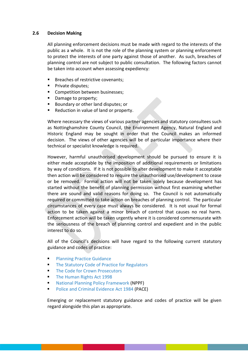## <span id="page-10-0"></span>**2.6 Decision Making**

All planning enforcement decisions must be made with regard to the interests of the public as a whole. It is not the role of the planning system or planning enforcement to protect the interests of one party against those of another. As such, breaches of planning control are not subject to public consultation. The following factors cannot be taken into account when assessing expediency:

- Breaches of restrictive covenants;
- **Private disputes;**
- Competition between businesses;
- Damage to property;
- Boundary or other land disputes; or
- Reduction in value of land or property.

Where necessary the views of various partner agencies and statutory consultees such as Nottinghamshire County Council, the Environment Agency, Natural England and Historic England may be sought in order that the Council makes an informed decision. The views of other agencies will be of particular importance where their technical or specialist knowledge is required.

However, harmful unauthorised development should be pursued to ensure it is either made acceptable by the imposition of additional requirements or limitations by way of conditions. If it is not possible to alter development to make it acceptable then action will be considered to require the unauthorised use/development to cease or be removed. Formal action will not be taken solely because development has started without the benefit of planning permission without first examining whether there are sound and valid reasons for doing so. The Council is not automatically required or committed to take action on breaches of planning control. The particular circumstances of every case must always be considered. It is not usual for formal action to be taken against a minor breach of control that causes no real harm. Enforcement action will be taken urgently where it is considered commensurate with the seriousness of the breach of planning control and expedient and in the public interest to do so.

All of the Council's decisions will have regard to the following current statutory guidance and codes of practice:

- [Planning Practice Guidance](https://www.gov.uk/guidance/ensuring-effective-enforcement#Retrospective-planning-application)
- **[The Statutory Code of Practice for Regulators](https://assets.publishing.service.gov.uk/government/uploads/system/uploads/attachment_data/file/300126/14-705-regulators-code.pdf)**
- [The Code for Crown Prosecutors](https://www.cps.gov.uk/publication/code-crown-prosecutorshttp:/www.legislation.gov.uk/ukpga/1998/42/contents)
- [The Human Rights Act 1998](http://www.legislation.gov.uk/ukpga/1998/42/contents)
- [National Planning Policy Framework](https://assets.publishing.service.gov.uk/government/uploads/system/uploads/attachment_data/file/810197/NPPF_Feb_2019_revised.pdf) (NPPF)
- [Police and Criminal Evidence Act 1984](http://www.legislation.gov.uk/ukpga/1984/60/contents) (PACE)

Emerging or replacement statutory guidance and codes of practice will be given regard alongside this plan as appropriate.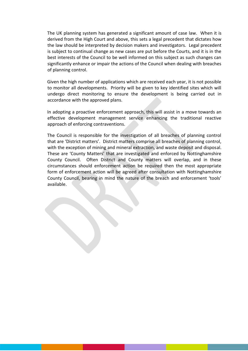The UK planning system has generated a significant amount of case law. When it is derived from the High Court and above, this sets a legal precedent that dictates how the law should be interpreted by decision makers and investigators. Legal precedent is subject to continual change as new cases are put before the Courts, and it is in the best interests of the Council to be well informed on this subject as such changes can significantly enhance or impair the actions of the Council when dealing with breaches of planning control.

Given the high number of applications which are received each year, it is not possible to monitor all developments. Priority will be given to key identified sites which will undergo direct monitoring to ensure the development is being carried out in accordance with the approved plans.

In adopting a proactive enforcement approach, this will assist in a move towards an effective development management service enhancing the traditional reactive approach of enforcing contraventions.

The Council is responsible for the investigation of all breaches of planning control that are 'District matters'. District matters comprise all breaches of planning control, with the exception of mining and mineral extraction, and waste deposit and disposal. These are 'County Matters' that are investigated and enforced by Nottinghamshire County Council. Often District and County matters will overlap, and in these circumstances should enforcement action be required then the most appropriate form of enforcement action will be agreed after consultation with Nottinghamshire County Council, bearing in mind the nature of the breach and enforcement 'tools' available.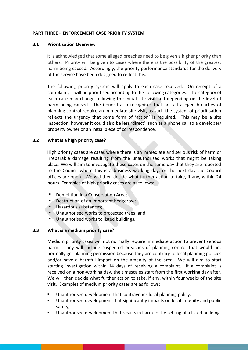## <span id="page-12-0"></span>**PART THREE – ENFORCEMENT CASE PRIORITY SYSTEM**

## <span id="page-12-1"></span>**3.1 Prioritisation Overview**

It is acknowledged that some alleged breaches need to be given a higher priority than others. Priority will be given to cases where there is the possibility of the greatest harm being caused. Accordingly, the priority performance standards for the delivery of the service have been designed to reflect this.

The following priority system will apply to each case received. On receipt of a complaint, it will be prioritised according to the following categories. The category of each case may change following the initial site visit and depending on the level of harm being caused. The Council also recognises that not all alleged breaches of planning control require an immediate site visit, as such the system of prioritisation reflects the urgency that some form of 'action' is required. This may be a site inspection, however it could also be less 'direct', such as a phone call to a developer/ property owner or an initial piece of correspondence.

# <span id="page-12-2"></span>**3.2 What is a high priority case?**

High priority cases are cases where there is an immediate and serious risk of harm or irreparable damage resulting from the unauthorised works that might be taking place. We will aim to investigate these cases on the same day that they are reported to the Council where this is a business working day, or the next day the Council offices are open. We will then decide what further action to take, if any, within 24 hours. Examples of high priority cases are as follows:

- Demolition in a Conservation Area;
- Destruction of an important hedgerow;
- Hazardous substances;
- Unauthorised works to protected trees; and
- **Unauthorised works to listed buildings.**

## <span id="page-12-3"></span>**3.3 What is a medium priority case?**

Medium priority cases will not normally require immediate action to prevent serious harm. They will include suspected breaches of planning control that would not normally get planning permission because they are contrary to local planning policies and/or have a harmful impact on the amenity of the area. We will aim to start starting investigation within 14 days of receiving a complaint. If a complaint is received on a non-working day, the timescales start from the first working day after. We will then decide what further action to take, if any, within four weeks of the site visit. Examples of medium priority cases are as follows:

- Unauthorised development that contravenes local planning policy;
- Unauthorised development that significantly impacts on local amenity and public safety;
- Unauthorised development that results in harm to the setting of a listed building.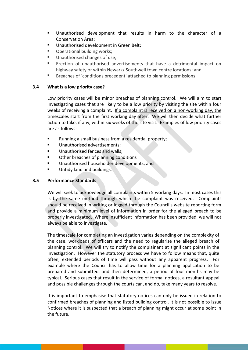- Unauthorised development that results in harm to the character of a Conservation Area;
- Unauthorised development in Green Belt;
- Operational building works;
- Unauthorised changes of use;
- Erection of unauthorised advertisements that have a detrimental impact on highway safety or within Newark/ Southwell town centre locations; and
- Breaches of 'conditions precedent' attached to planning permissions

# <span id="page-13-0"></span>**3.4 What is a low priority case?**

Low priority cases will be minor breaches of planning control. We will aim to start investigating cases that are likely to be a low priority by visiting the site within four weeks of receiving a complaint. If a complaint is received on a non-working day, the timescales start from the first working day after. We will then decide what further action to take, if any, within six weeks of the site visit. Examples of low priority cases are as follows:

- Running a small business from a residential property;
- **Unauthorised advertisements;**
- Unauthorised fences and walls;
- Other breaches of planning conditions
- Unauthorised householder developments; and
- Untidy land and buildings.

# <span id="page-13-1"></span>**3.5 Performance Standards**

We will seek to acknowledge all complaints within 5 working days. In most cases this is by the same method through which the complaint was received. Complaints should be received in writing or logged through the Council's website reporting form and provide a minimum level of information in order for the alleged breach to be properly investigated. Where insufficient information has been provided, we will not always be able to investigate.

The timescale for completing an investigation varies depending on the complexity of the case, workloads of officers and the need to regularise the alleged breach of planning control. We will try to notify the complainant at significant points in the investigation. However the statutory process we have to follow means that, quite often, extended periods of time will pass without any apparent progress. For example where the Council has to allow time for a planning application to be prepared and submitted, and then determined, a period of four months may be typical. Serious cases that result in the service of formal notices, a resultant appeal and possible challenges through the courts can, and do, take many years to resolve.

It is important to emphasise that statutory notices can only be issued in relation to confirmed breaches of planning and listed building control. It is not possible to issue Notices where it is suspected that a breach of planning might occur at some point in the future.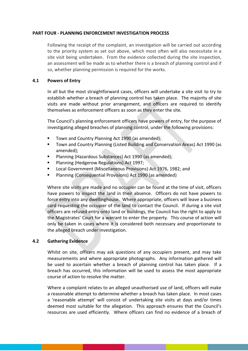#### <span id="page-14-0"></span>**PART FOUR - PLANNING ENFORCEMENT INVESTIGATION PROCESS**

Following the receipt of the complaint, an investigation will be carried out according to the priority system as set out above, which most often will also necessitate in a site visit being undertaken. From the evidence collected during the site inspection, an assessment will be made as to whether there is a breach of planning control and if so, whether planning permission is required for the works.

#### <span id="page-14-1"></span>**4.1 Powers of Entry**

In all but the most straightforward cases, officers will undertake a site visit to try to establish whether a breach of planning control has taken place. The majority of site visits are made without prior arrangement, and officers are required to identify themselves as enforcement officers as soon as they enter the site.

The Council's planning enforcement officers have powers of entry, for the purpose of investigating alleged breaches of planning control, under the following provisions:

- Town and Country Planning Act 1990 (as amended);
- Town and Country Planning (Listed Building and Conservation Areas) Act 1990 (as amended);
- Planning (Hazardous Substances) Act 1990 (as amended);
- [Planning \(Hedgerow Regulations\) Act 1997;](http://www.legislation.gov.uk/uksi/1997/1160/contents/made)
- Local Government (Miscellaneous Provisions) Act 1976, 1982; and
- Planning (Consequential Provisions) Act 1990 (as amended)

Where site visits are made and no occupier can be found at the time of visit, officers have powers to inspect the land in their absence. Officers do not have powers to force entry into any dwellinghouse. Where appropriate, officers will leave a business card requesting the occupier of the land to contact the Council. If during a site visit officers are refused entry onto land or buildings, the Council has the right to apply to the Magistrates' Court for a warrant to enter the property. This course of action will only be taken in cases where it is considered both necessary and proportionate to the alleged breach under investigation.

## <span id="page-14-2"></span>**4.2 Gathering Evidence**

Whilst on site, officers may ask questions of any occupiers present, and may take measurements and where appropriate photographs. Any information gathered will be used to ascertain whether a breach of planning control has taken place. If a breach has occurred, this information will be used to assess the most appropriate course of action to resolve the matter.

Where a complaint relates to an alleged unauthorised use of land, officers will make a reasonable attempt to determine whether a breach has taken place. In most cases a 'reasonable attempt' will consist of undertaking site visits at days and/or times deemed most suitable for the allegation. This approach ensures that the Council's resources are used efficiently. Where officers can find no evidence of a breach of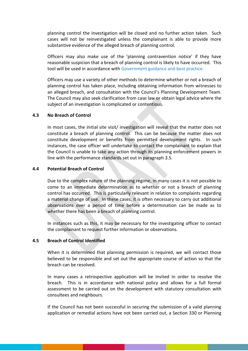planning control the investigation will be closed and no further action taken. Such cases will not be reinvestigated unless the complainant is able to provide more substantive evidence of the alleged breach of planning control.

Officers may also make use of the 'planning contravention notice' if they have reasonable suspicion that a breach of planning control is likely to have occurred. This tool will be used in accordance with [Government guidance and best practice.](https://www.gov.uk/guidance/ensuring-effective-enforcement#Planning-contravention-notice)

Officers may use a variety of other methods to determine whether or not a breach of planning control has taken place, including obtaining information from witnesses to an alleged breach, and consultation with the Council's Planning Development Team. The Council may also seek clarification from case law or obtain legal advice where the subject of an investigation is complicated or contentious.

#### <span id="page-15-0"></span>**4.3 No Breach of Control**

In most cases, the initial site visit/ investigation will reveal that the matter does not constitute a breach of planning control. This can be because the matter does not constitute development or benefits from permitted development rights. In such instances, the case officer will undertake to contact the complainant to explain that the Council is unable to take any action through its planning enforcement powers in line with the performance standards set out in paragraph 3.5.

#### <span id="page-15-1"></span>**4.4 Potential Breach of Control**

Due to the complex nature of the planning regime, in many cases it is not possible to come to an immediate determination as to whether or not a breach of planning control has occurred. This is particularly relevant in relation to complaints regarding a material change of use. In these cases, it is often necessary to carry out additional observations over a period of time before a determination can be made as to whether there has been a breach of planning control.

In instances such as this, it may be necessary for the investigating officer to contact the complainant to request further information or observations.

#### <span id="page-15-2"></span>**4.5 Breach of Control Identified**

When it is determined that planning permission is required, we will contact those believed to be responsible and set out the appropriate course of action so that the breach can be resolved.

In many cases a retrospective application will be invited in order to resolve the breach. This is in accordance with national policy and allows for a full formal assessment to be carried out on the development with statutory consultation with consultees and neighbours.

If the Council has not been successful in securing the submission of a valid planning application or remedial actions have not been carried out, a Section 330 or Planning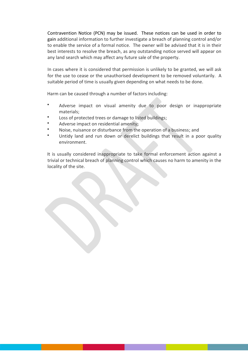Contravention Notice (PCN) may be issued. These notices can be used in order to gain additional information to further investigate a breach of planning control and/or to enable the service of a formal notice. The owner will be advised that it is in their best interests to resolve the breach, as any outstanding notice served will appear on any land search which may affect any future sale of the property.

In cases where it is considered that permission is unlikely to be granted, we will ask for the use to cease or the unauthorised development to be removed voluntarily. A suitable period of time is usually given depending on what needs to be done.

Harm can be caused through a number of factors including:

- Adverse impact on visual amenity due to poor design or inappropriate materials;
- Loss of protected trees or damage to listed buildings;
- Adverse impact on residential amenity;
- Noise, nuisance or disturbance from the operation of a business; and
- Untidy land and run down or derelict buildings that result in a poor quality environment.

It is usually considered inappropriate to take formal enforcement action against a trivial or technical breach of planning control which causes no harm to amenity in the locality of the site.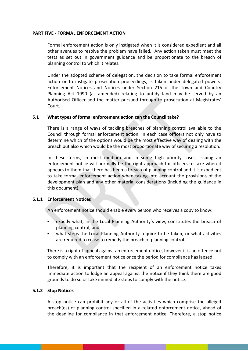#### <span id="page-17-0"></span>**PART FIVE - FORMAL ENFORCEMENT ACTION**

Formal enforcement action is only instigated when it is considered expedient and all other avenues to resolve the problem have failed. Any action taken must meet the tests as set out in government guidance and be proportionate to the breach of planning control to which it relates.

Under the adopted scheme of delegation, the decision to take formal enforcement action or to instigate prosecution proceedings, is taken under delegated powers. Enforcement Notices and Notices under Section 215 of the Town and Country Planning Act 1990 (as amended) relating to untidy land may be served by an Authorised Officer and the matter pursued through to prosecution at Magistrates' Court.

## <span id="page-17-1"></span>**5.1 What types of formal enforcement action can the Council take?**

There is a range of ways of tackling breaches of planning control available to the Council through formal enforcement action. In each case officers not only have to determine which of the options would be the most effective way of dealing with the breach but also which would be the most proportionate way of securing a resolution.

In these terms, in most medium and in some high priority cases, issuing an enforcement notice will normally be the right approach for officers to take when it appears to them that there has been a breach of planning control and it is expedient to take formal enforcement action when taking into account the provisions of the development plan and any other material considerations (including the guidance in this document).

#### <span id="page-17-2"></span>**5.1.1 Enforcement Notices**

An enforcement notice should enable every person who receives a copy to know:

- exactly what, in the Local Planning Authority's view, constitutes the breach of planning control; and
- what steps the Local Planning Authority require to be taken, or what activities are required to cease to remedy the breach of planning control.

There is a right of [appeal](https://www.gov.uk/guidance/appeals#Enforcement-appeal) against an enforcement notice, however it is an offence not to comply with an enforcement notice once the period for compliance has lapsed.

Therefore, it is important that the recipient of an enforcement notice takes immediate action to lodge an appeal against the notice if they think there are good grounds to do so or take immediate steps to comply with the notice.

#### <span id="page-17-3"></span>**5.1.2 Stop Notices**

A stop notice can prohibit any or all of the activities which comprise the alleged breach(es) of planning control specified in a related enforcement notice, ahead of the deadline for compliance in that enforcement notice. Therefore, a stop notice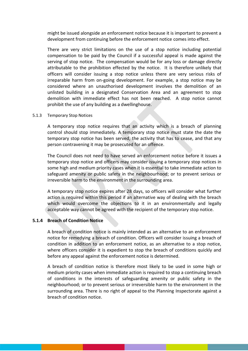might be issued alongside an enforcement notice because it is important to prevent a development from continuing before the enforcement notice comes into effect.

There are very strict limitations on the use of a stop notice including potential compensation to be paid by the Council if a successful appeal is made against the serving of stop notice. The compensation would be for any loss or damage directly attributable to the prohibition effected by the notice. It is therefore unlikely that officers will consider issuing a stop notice unless there are very serious risks of irreparable harm from on-going development. For example, a stop notice may be considered where an unauthorised development involves the demolition of an unlisted building in a designated Conservation Area and an agreement to stop demolition with immediate effect has not been reached. A stop notice cannot prohibit the use of any building as a dwellinghouse.

#### 5.1.3 Temporary Stop Notices

A temporary stop notice requires that an activity which is a breach of planning control should stop immediately. A temporary stop notice must state the date the temporary stop notice has been served, the activity that has to cease, and that any person contravening it may be prosecuted for an offence.

The Council does not need to have served an enforcement notice before it issues a temporary stop notice and officers may consider issuing a temporary stop notices in some high and medium priority cases when it is essential to take immediate action to safeguard amenity or public safety in the neighbourhood; or to prevent serious or irreversible harm to the environment in the surrounding area.

A temporary stop notice expires after 28 days, so officers will consider what further action is required within this period if an alternative way of dealing with the breach which would overcome the objections to it in an environmentally and legally acceptable way cannot be agreed with the recipient of the temporary stop notice.

#### <span id="page-18-0"></span>**5.1.4 Breach of Condition Notice**

A breach of condition notice is mainly intended as an alternative to an enforcement notice for remedying a breach of condition. Officers will consider issuing a breach of condition in addition to an enforcement notice, as an alternative to a stop notice, where officers consider it is expedient to stop the breach of conditions quickly and before any appeal against the enforcement notice is determined.

A breach of condition notice is therefore most likely to be used in some high or medium priority cases when immediate action is required to stop a continuing breach of conditions in the interests of safeguarding amenity or public safety in the neighbourhood; or to prevent serious or irreversible harm to the environment in the surrounding area. There is no right of appeal to the Planning Inspectorate against a breach of condition notice.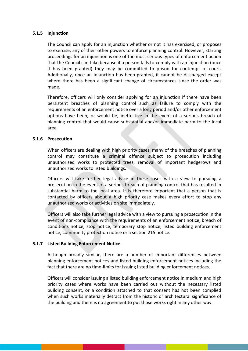## <span id="page-19-0"></span>**5.1.5 Injunction**

The Council can apply for an injunction whether or not it has exercised, or proposes to exercise, any of their other powers to enforce planning control. However, starting proceedings for an injunction is one of the most serious types of enforcement action that the Council can take because if a person fails to comply with an injunction (once it has been granted) they may be committed to prison for contempt of court. Additionally, once an injunction has been granted, it cannot be discharged except where there has been a significant change of circumstances since the order was made.

Therefore, officers will only consider applying for an injunction if there have been persistent breaches of planning control such as failure to comply with the requirements of an enforcement notice over a long period and/or other enforcement options have been, or would be, ineffective in the event of a serious breach of planning control that would cause substantial and/or immediate harm to the local area.

#### <span id="page-19-1"></span>**5.1.6 Prosecution**

When officers are dealing with high priority cases, many of the breaches of planning control may constitute a criminal offence subject to prosecution including unauthorised works to protected trees, removal of important hedgerows and unauthorised works to listed buildings.

Officers will take further legal advice in these cases with a view to pursuing a prosecution in the event of a serious breach of planning control that has resulted in substantial harm to the local area. It is therefore important that a person that is contacted by officers about a high priority case makes every effort to stop any unauthorised works or activities on site immediately.

Officers will also take further legal advice with a view to pursuing a prosecution in the event of non-compliance with the requirements of an enforcement notice, breach of conditions notice, stop notice, temporary stop notice, listed building enforcement notice, community protection notice or a section 215 notice.

## <span id="page-19-2"></span>**5.1.7 Listed Building Enforcement Notice**

Although broadly similar, there are a number of important differences between planning enforcement notices and listed building enforcement notices including the fact that there are no time-limits for issuing listed building enforcement notices.

Officers will consider issuing a listed building enforcement notice in medium and high priority cases where works have been carried out without the necessary listed building consent, or a condition attached to that consent has not been complied when such works materially detract from the historic or architectural significance of the building and there is no agreement to put those works right in any other way.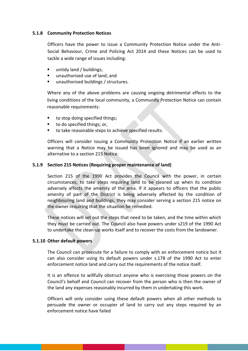## <span id="page-20-0"></span>**5.1.8 Community Protection Notices**

Officers have the power to issue a Community Protection Notice under the Anti-Social Behaviour, Crime and Policing Act 2014 and these Notices can be used to tackle a wide range of issues including:

- untidy land / buildings;
- unauthorised use of land; and
- unauthorised buildings / structures.

Where any of the above problems are causing ongoing detrimental effects to the living conditions of the local community, a Community Protection Notice can contain reasonable requirements:

- to stop doing specified things:
- to do specified things; or,
- to take reasonable steps to achieve specified results.

Officers will consider issuing a Community Protection Notice if an earlier written warning that a Notice may be issued has been ignored and may be used as an alternative to a section 215 Notice.

## <span id="page-20-1"></span>**5.1.9 Section 215 Notices (Requiring proper maintenance of land)**

Section 215 of the 1990 Act provides the Council with the power, in certain circumstances, to take steps requiring land to be cleaned up when its condition adversely affects the amenity of the area. If it appears to officers that the public amenity of part of the District is being adversely affected by the condition of neighbouring land and buildings, they may consider serving a section 215 notice on the owner requiring that the situation be remedied.

These notices will set out the steps that need to be taken, and the time within which they must be carried out. The Council also have powers under s219 of the 1990 Act to undertake the clean-up works itself and to recover the costs from the landowner.

## <span id="page-20-2"></span>**5.1.10 Other default powers**

The Council can prosecute for a failure to comply with an enforcement notice but it can also consider using its default powers under s.178 of the 1990 Act to enter enforcement notice land and carry out the requirements of the notice itself.

It is an offence to willfully obstruct anyone who is exercising those powers on the Council's behalf and Council can recover from the person who is then the owner of the land any expenses reasonably incurred by them in undertaking this work.

Officers will only consider using these default powers when all other methods to persuade the owner or occupier of land to carry out any steps required by an enforcement notice have failed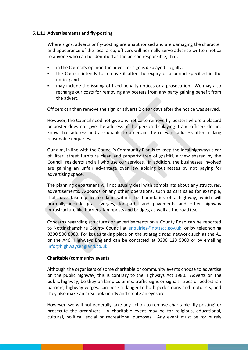## <span id="page-21-0"></span>**5.1.11 Advertisements and fly-posting**

Where signs, adverts or fly-posting are unauthorised and are damaging the character and appearance of the local area, officers will normally serve advance written notice to anyone who can be identified as the person responsible, that:

- in the Council's opinion the advert or sign is displayed illegally;
- the Council intends to remove it after the expiry of a period specified in the notice; and
- may include the issuing of fixed penalty notices or a prosecution. We may also recharge our costs for removing any posters from any party gaining benefit from the advert.

Officers can then remove the sign or adverts 2 clear days after the notice was served.

However, the Council need not give any notice to remove fly-posters where a placard or poster does not give the address of the person displaying it and officers do not know that address and are unable to ascertain the relevant address after making reasonable enquiries.

Our aim, in line with the Council's Community Plan is to keep the local highways clear of litter, street furniture clean and property free of graffiti, a view shared by the Council, residents and all who use our services. In addition, the businesses involved are gaining an unfair advantage over law abiding businesses by not paying for advertising space.

The planning department will not usually deal with complaints about any structures, advertisements, A-boards or any other operations, such as cars sales for example, that have taken place on land within the boundaries of a highway, which will normally include grass verges, footpaths and pavements and other highway infrastructure like barriers, lampposts and bridges, as well as the road itself.

Concerns regarding structures or advertisements on a County Road can be reported to Nottinghamshire County Council at [enquiries@nottscc.gov.uk,](mailto:enquiries@nottscc.gov.uk) or by telephoning 0300 500 8080. For issues taking place on the strategic road network such as the A1 or the A46, Highways England can be contacted at 0300 123 5000 or by emailing [info@highwaysengland.co.uk.](mailto:info@highwaysengland.co.uk)

## **Charitable/community events**

Although the organisers of some charitable or community events choose to advertise on the public highway, this is contrary to the Highways Act 1980. Adverts on the public highway, be they on lamp columns, traffic signs or signals, trees or pedestrian barriers, highway verges, can pose a danger to both pedestrians and motorists, and they also make an area look untidy and create an eyesore.

However, we will not generally take any action to remove charitable 'fly posting' or prosecute the organisers. A charitable event may be for religious, educational, cultural, political, social or recreational purposes. Any event must be for purely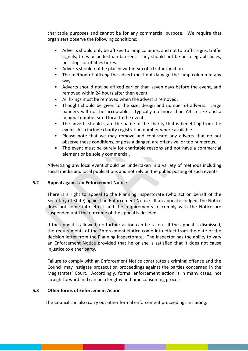charitable purposes and cannot be for any commercial purpose. We require that organisers observe the following conditions:

- Adverts should only be affixed to lamp columns, and not to traffic signs, traffic signals, trees or pedestrian barriers. They should not be on telegraph poles, bus stops or utilities boxes.
- Adverts should not be placed within 5m of a traffic junction.
- The method of affixing the advert must not damage the lamp column in any way.
- Adverts should not be affixed earlier than seven days before the event, and removed within 24 hours after then event.
- All fixings must be removed when the advert is removed.
- Thought should be given to the size, design and number of adverts. Large banners will not be acceptable. Typically no more than A4 in size and a minimal number sited local to the event.
- The adverts should state the name of the charity that is benefiting from the event. Also include charity registration number where available.
- Please note that we may remove and confiscate any adverts that do not observe these conditions, or pose a danger, are offensive, or too numerous.
- The event must be purely for charitable reasons and not have a commercial element or be solely commercial.

Advertising any local event should be undertaken in a variety of methods including social media and local publications and not rely on the public posting of such events.

## <span id="page-22-0"></span>**5.2 Appeal against an Enforcement Notice**

There is a right to appeal to the Planning Inspectorate (who act on behalf of the Secretary of State) against an Enforcement Notice. If an appeal is lodged, the Notice does not come into effect and the requirements to comply with the Notice are suspended until the outcome of the appeal is decided.

If the appeal is allowed, no further action can be taken. If the appeal is dismissed, the requirements of the Enforcement Notice come into effect from the date of the decision letter from the Planning Inspectorate. The Inspector has the ability to vary an Enforcement Notice provided that he or she is satisfied that it does not cause injustice to either party.

Failure to comply with an Enforcement Notice constitutes a criminal offence and the Council may instigate prosecution proceedings against the parties concerned in the Magistrates' Court. Accordingly, formal enforcement action is in many cases, not straightforward and can be a lengthy and time consuming process.

## <span id="page-22-1"></span>**5.3 Other forms of Enforcement Action**

The Council can also carry out other formal enforcement proceedings including: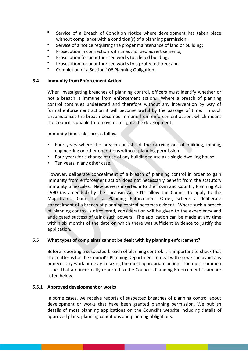- Service of a Breach of Condition Notice where development has taken place without compliance with a condition(s) of a planning permission;
- Service of a notice requiring the proper maintenance of land or building;
- Prosecution in connection with unauthorised advertisements;
- Prosecution for unauthorised works to a listed building;
- Prosecution for unauthorised works to a protected tree; and
- Completion of a Section 106 Planning Obligation.

#### <span id="page-23-0"></span>**5.4 Immunity from Enforcement Action**

When investigating breaches of planning control, officers must identify whether or not a breach is immune from enforcement action. Where a breach of planning control continues undetected and therefore without any intervention by way of formal enforcement action it will become lawful by the passage of time. In such circumstances the breach becomes immune from enforcement action, which means the Council is unable to remove or mitigate the development.

Immunity timescales are as follows:

- Four vears where the breach consists of the carrying out of building, mining, engineering or other operations without planning permission.
- **Four years for a change of use of any building to use as a single dwelling house.**
- **Ten years in any other case.**

However, deliberate concealment of a breach of planning control in order to gain immunity from enforcement action does not necessarily benefit from the statutory immunity timescales. New powers inserted into the Town and Country Planning Act 1990 (as amended) by the Localism Act 2011 allow the Council to apply to the Magistrates' Court for a Planning Enforcement Order, where a deliberate concealment of a breach of planning control becomes evident. Where such a breach of planning control is discovered, consideration will be given to the expediency and anticipated success of using such powers. The application can be made at any time within six months of the date on which there was sufficient evidence to justify the application.

## <span id="page-23-1"></span>**5.5 What types of complaints cannot be dealt with by planning enforcement?**

Before reporting a suspected breach of planning control, it is important to check that the matter is for the Council's Planning Department to deal with so we can avoid any unnecessary work or delay in taking the most appropriate action. The most common issues that are incorrectly reported to the Council's Planning Enforcement Team are listed below.

## <span id="page-23-2"></span>**5.5.1 Approved development or works**

In some cases, we receive reports of suspected breaches of planning control about development or works that have been granted planning permission. We publish details of most planning applications on the Council's website including details of approved plans, planning conditions and planning obligations.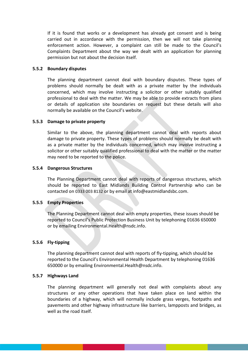If it is found that works or a development has already got consent and is being carried out in accordance with the permission, then we will not take planning enforcement action. However, a complaint can still be made to the Council's Complaints Department about the way we dealt with an application for planning permission but not about the decision itself.

#### <span id="page-24-0"></span>**5.5.2 Boundary disputes**

The planning department cannot deal with boundary disputes. These types of problems should normally be dealt with as a private matter by the individuals concerned, which may involve instructing a solicitor or other suitably qualified professional to deal with the matter. We may be able to provide extracts from plans or details of application site boundaries on request but these details will also normally be available on the Council's website.

#### <span id="page-24-1"></span>**5.5.3 Damage to private property**

Similar to the above, the planning department cannot deal with reports about damage to private property. These types of problems should normally be dealt with as a private matter by the individuals concerned, which may involve instructing a solicitor or other suitably qualified professional to deal with the matter or the matter may need to be reported to the police.

#### <span id="page-24-2"></span>**5.5.4 Dangerous Structures**

The Planning Department cannot deal with reports of dangerous structures, which should be reported to East Midlands Building Control Partnership who can be contacted on 0333 003 8132 or by email at info@eastmidlandsbc.com.

## <span id="page-24-3"></span>**5.5.5 Empty Properties**

The Planning Department cannot deal with empty properties, these issues should be reported to Council's Public Protection Business Unit by telephoning 01636 650000 or by emailing [Environmental.Health@nsdc.info.](mailto:Environmental.Health@nsdc.info)

## <span id="page-24-4"></span>**5.5.6 Fly-tipping**

The planning department cannot deal with reports of fly-tipping, which should be reported to the Council's Environmental Health Department by telephonin[g 01636](tel:01246242424) 650000 or by emailing Environmental.Health@nsdc.info.

#### <span id="page-24-5"></span>**5.5.7 Highways Land**

The planning department will generally not deal with complaints about any structures or any other operations that have taken place on land within the boundaries of a highway, which will normally include grass verges, footpaths and pavements and other highway infrastructure like barriers, lampposts and bridges, as well as the road itself.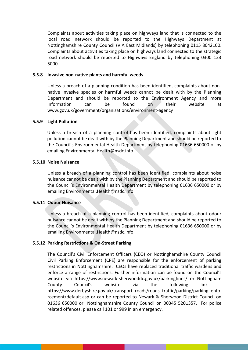Complaints about activities taking place on highways land that is connected to the local road network should be reported to the Highways Department at Nottinghamshire County Council (VIA East Midlands) by telephoning 0115 8042100. Complaints about activities taking place on highways land connected to the strategic road network should be reported to Highways England by telephoning 0300 123 5000.

#### <span id="page-25-0"></span>**5.5.8 Invasive non-native plants and harmful weeds**

Unless a breach of a planning condition has been identified, complaints about nonnative invasive species or harmful weeds cannot be dealt with by the Planning Department and should be reported to the Environment Agency and more information can be found on their website at [www.gov.uk/government/organisations/environment-agency](http://www.gov.uk/government/organisations/environment-agency)

## <span id="page-25-1"></span>**5.5.9 Light Pollution**

Unless a breach of a planning control has been identified, complaints about light pollution cannot be dealt with by the Planning Department and should be reported to the Council's Environmental Health Department by telephoning 01636 650000 or by emailing Environmental.Health@nsdc.info

#### <span id="page-25-2"></span>**5.5.10 Noise Nuisance**

Unless a breach of a planning control has been identified, complaints about noise nuisance cannot be dealt with by the Planning Department and should be reported to the Council's Environmental Health Department by telephoning 01636 650000 or by emailing [Environmental.Health@nsdc.info](mailto:Environmental.Health@nsdc.info)

## <span id="page-25-3"></span>**5.5.11 Odour Nuisance**

Unless a breach of a planning control has been identified, complaints about odour nuisance cannot be dealt with by the Planning Department and should be reported to the Council's Environmental Health Department by telephoning 01636 650000 or by emailing Environmental.Health@nsdc.info

## <span id="page-25-4"></span>**5.5.12 Parking Restrictions & On-Street Parking**

The Council's Civil Enforcement Officers (CEO) or Nottinghamshire County Council Civil Parking Enforcement (CPE) are responsible for the enforcement of parking restrictions in Nottinghamshire. CEOs have replaced traditional traffic wardens and enforce a range of restrictions. Further information can be found on the Council's website via <https://www.newark-sherwooddc.gov.uk/parkingfines/> or Nottingham County Council's website via the following link [https://www.derbyshire.gov.uk/transport\\_roads/roads\\_traffic/parking/parking\\_enfo](https://www.derbyshire.gov.uk/transport_roads/roads_traffic/parking/parking_enforcement/default.asp) [rcement/default.asp](https://www.derbyshire.gov.uk/transport_roads/roads_traffic/parking/parking_enforcement/default.asp) or can be reported to Newark & Sherwood District Council on 01636 650000 or Nottinghamshire County Council on 00345 5201357. For police related offences, please call 101 or 999 in an emergency.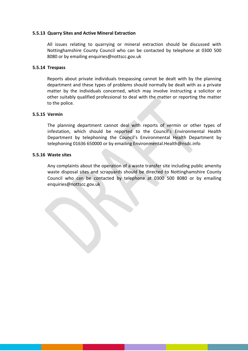#### <span id="page-26-0"></span>**5.5.13 Quarry Sites and Active Mineral Extraction**

All issues relating to quarrying or mineral extraction should be discussed with Nottinghamshire County Council who can be contacted by telephone at 0300 500 8080 or by emailing enquiries@nottscc.gov.uk

#### <span id="page-26-1"></span>**5.5.14 Trespass**

Reports about private individuals trespassing cannot be dealt with by the planning department and these types of problems should normally be dealt with as a private matter by the individuals concerned, which may involve instructing a solicitor or other suitably qualified professional to deal with the matter or reporting the matter to the police.

## <span id="page-26-2"></span>**5.5.15 Vermin**

The planning department cannot deal with reports of vermin or other types of infestation, which should be reported to the Council's Environmental Health Department by telephoning the Council's Environmental Health Department by telephoning 01636 650000 or by emailing Environmental.Health@nsdc.info

#### <span id="page-26-3"></span>**5.5.16 Waste sites**

Any complaints about the operation of a waste transfer site including public amenity waste disposal sites and scrapyards should be directed to Nottinghamshire County Council who can be contacted by telephone at 0300 500 8080 or by emailing enquiries@nottscc.gov.uk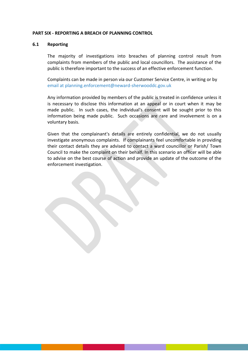#### <span id="page-27-0"></span>**PART SIX - REPORTING A BREACH OF PLANNING CONTROL**

#### <span id="page-27-1"></span>**6.1 Reporting**

The majority of investigations into breaches of planning control result from complaints from members of the public and local councillors. The assistance of the public is therefore important to the success of an effective enforcement function.

Complaints can be made in person via our Customer Service Centre, in writing or by [email](mailto:customerservices@nsdc.info) at [planning.enforcement@neward-sherwooddc.gov.uk](mailto:planning.enforcement@neward-sherwooddc.gov.uk)

Any information provided by members of the public is treated in confidence unless it is necessary to disclose this information at an appeal or in court when it may be made public. In such cases, the individual's consent will be sought prior to this information being made public. Such occasions are rare and involvement is on a voluntary basis.

Given that the complainant's details are entirely confidential, we do not usually investigate anonymous complaints. If complainants feel uncomfortable in providing their contact details they are advised to contact a ward councillor or Parish/ Town Council to make the complaint on their behalf. In this scenario an officer will be able to advise on the best course of action and provide an update of the outcome of the enforcement investigation.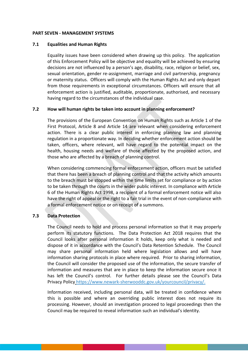#### <span id="page-28-0"></span>**PART SEVEN - MANAGEMENT SYSTEMS**

#### <span id="page-28-1"></span>**7.1 Equalities and Human Rights**

Equality issues have been considered when drawing up this policy. The application of this Enforcement Policy will be objective and equality will be achieved by ensuring decisions are not influenced by a person's age, disability, race, religion or belief, sex, sexual orientation, gender re-assignment, marriage and civil partnership, pregnancy or maternity status. Officers will comply with the Human Rights Act and only depart from those requirements in exceptional circumstances. Officers will ensure that all enforcement action is justified, auditable, proportionate, authorised, and necessary having regard to the circumstances of the individual case.

# <span id="page-28-2"></span>**7.2 How will human rights be taken into account in planning enforcement?**

The provisions of the [European Convention on Human Rights such as Article 1 of the](http://www.echr.coe.int/Documents/Convention_ENG.pdf)  [First Protocol, Article 8 and Article 14](http://www.echr.coe.int/Documents/Convention_ENG.pdf) are relevant when considering enforcement action. There is a clear public interest in enforcing planning law and planning regulation in a proportionate way. In deciding whether enforcement action should be taken, officers, where relevant, will have regard to the potential impact on the health, housing needs and welfare of those affected by the proposed action, and those who are affected by a breach of planning control.

When considering commencing formal enforcement action, officers must be satisfied that there has been a breach of planning control and that the activity which amounts to the breach must be stopped within the time limits set for compliance or by action to be taken through the courts in the wider public interest. In compliance with Article 6 of the Human Rights Act 1998, a recipient of a formal enforcement notice will also have the right of appeal or the right to a fair trial in the event of non-compliance with a formal enforcement notice or on receipt of a summons.

## <span id="page-28-3"></span>**7.3 Data Protection**

The Council needs to hold and process personal information so that it may properly perform its statutory functions. The Data Protection Act 2018 requires that the Council looks after personal information it holds, keep only what is needed and dispose of it in accordance with the Council's Data Retention Schedule. The Council may share personal information held where legislation allows and will have information sharing protocols in place where required. Prior to sharing information, the Council will consider the proposed use of the information, the secure transfer of information and measures that are in place to keep the information secure once it has left the Council's control. For further details please see the Council's Data Privacy Policy [https://www.newark-sherwooddc.gov.uk/yourcouncil/privacy/.](https://www.newark-sherwooddc.gov.uk/yourcouncil/privacy/)

Information received, including personal data, will be treated in confidence where this is possible and where an overriding public interest does not require its processing. However, should an investigation proceed to legal proceedings then the Council may be required to reveal information such an individual's identity.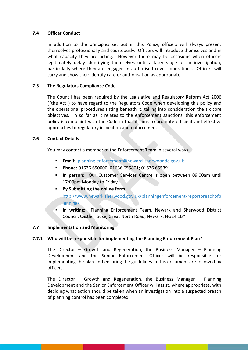## <span id="page-29-0"></span>**7.4 Officer Conduct**

In addition to the principles set out in this Policy, officers will always present themselves professionally and courteously. Officers will introduce themselves and in what capacity they are acting. However there may be occasions when officers legitimately delay identifying themselves until a later stage of an investigation, particularly where they are engaged in authorised covert operations. Officers will carry and show their identify card or authorisation as appropriate.

# <span id="page-29-1"></span>**7.5 The Regulators Compliance Code**

The Council has been required by the Legislative and Regulatory Reform Act 2006 ("the Act") to have regard to the Regulators Code when developing this policy and the operational procedures sitting beneath it, taking into consideration the six core objectives. In so far as it relates to the enforcement sanctions, this enforcement policy is complaint with the Code in that it aims to promote efficient and effective approaches to regulatory inspection and enforcement.

# <span id="page-29-2"></span>**7.6 Contact Details**

You may contact a member of the Enforcement Team in several ways:

- **Email:** [planning.enforcement@neward-sherwooddc.gov.uk](mailto:planning.enforcement@neward-sherwooddc.gov.uk)
- **Phone:** 01636 650000; 01636 655801; 01636 655391
- **In person:** Our Customer Services Centre is open between 09:00am until 17:00pm Monday to Friday
- **By Submitting the online form**  [http://www.newark.sherwood.gov.uk/planningenforcement/reportbreachofp](http://www.newark.sherwood.gov.uk/planningenforcement/reportbreachofplanning/) [lanning/](http://www.newark.sherwood.gov.uk/planningenforcement/reportbreachofplanning/)
- **In writing:** Planning Enforcement Team, Newark and Sherwood District Council, Castle House, Great North Road, Newark, NG24 1BY

# <span id="page-29-3"></span>**7.7 Implementation and Monitoring**

# <span id="page-29-4"></span>**7.7.1 Who will be responsible for implementing the Planning Enforcement Plan?**

The Director – Growth and Regeneration, the Business Manager – Planning Development and the Senior Enforcement Officer will be responsible for implementing the plan and ensuring the guidelines in this document are followed by officers.

The Director – Growth and Regeneration, the Business Manager – Planning Development and the Senior Enforcement Officer will assist, where appropriate, with deciding what action should be taken when an investigation into a suspected breach of planning control has been completed.